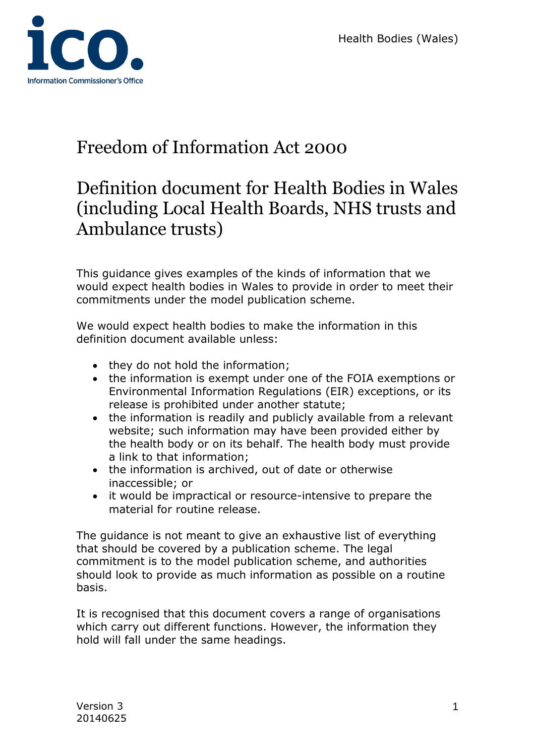

# Freedom of Information Act 2000

# Definition document for Health Bodies in Wales (including Local Health Boards, NHS trusts and Ambulance trusts)

This guidance gives examples of the kinds of information that we would expect health bodies in Wales to provide in order to meet their commitments under the model publication scheme.

We would expect health bodies to make the information in this definition document available unless:

- they do not hold the information;
- the information is exempt under one of the FOIA exemptions or Environmental Information Regulations (EIR) exceptions, or its release is prohibited under another statute;
- the information is readily and publicly available from a relevant website; such information may have been provided either by the health body or on its behalf. The health body must provide a link to that information;
- the information is archived, out of date or otherwise inaccessible; or
- it would be impractical or resource-intensive to prepare the material for routine release.

The guidance is not meant to give an exhaustive list of everything that should be covered by a publication scheme. The legal commitment is to the model publication scheme, and authorities should look to provide as much information as possible on a routine basis.

It is recognised that this document covers a range of organisations which carry out different functions. However, the information they hold will fall under the same headings.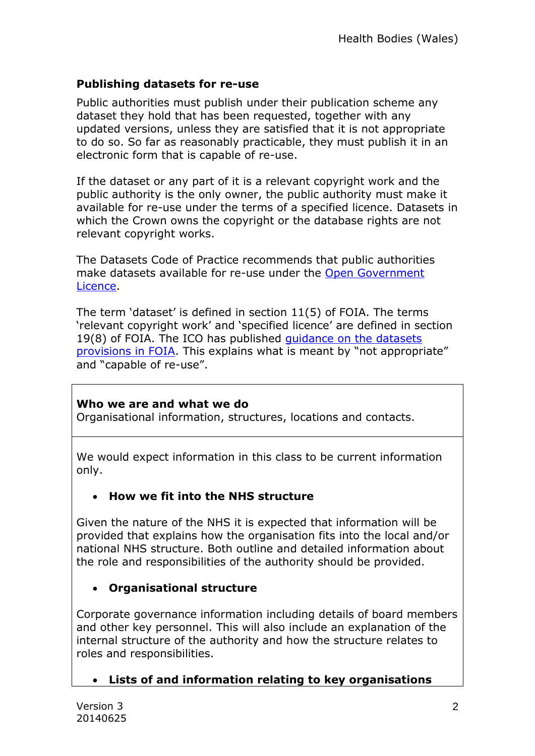## **Publishing datasets for re-use**

Public authorities must publish under their publication scheme any dataset they hold that has been requested, together with any updated versions, unless they are satisfied that it is not appropriate to do so. So far as reasonably practicable, they must publish it in an electronic form that is capable of re-use.

If the dataset or any part of it is a relevant copyright work and the public authority is the only owner, the public authority must make it available for re-use under the terms of a specified licence. Datasets in which the Crown owns the copyright or the database rights are not relevant copyright works.

The Datasets Code of Practice recommends that public authorities make datasets available for re-use under the Open Government [Licence.](http://www.nationalarchives.gov.uk/doc/open-government-licence/version/2/)

The term 'dataset' is defined in section 11(5) of FOIA. The terms 'relevant copyright work' and 'specified licence' are defined in section 19(8) of FOIA. The ICO has published [guidance on the datasets](http://www.ico.org.uk/for_organisations/guidance_index/~/media/documents/library/Freedom_of_Information/Detailed_specialist_guides/datasets-foi-guidance.pdf)  [provisions in FOIA.](http://www.ico.org.uk/for_organisations/guidance_index/~/media/documents/library/Freedom_of_Information/Detailed_specialist_guides/datasets-foi-guidance.pdf) This explains what is meant by "not appropriate" and "capable of re-use".

## **Who we are and what we do**

Organisational information, structures, locations and contacts.

We would expect information in this class to be current information only.

# **How we fit into the NHS structure**

Given the nature of the NHS it is expected that information will be provided that explains how the organisation fits into the local and/or national NHS structure. Both outline and detailed information about the role and responsibilities of the authority should be provided.

## **Organisational structure**

Corporate governance information including details of board members and other key personnel. This will also include an explanation of the internal structure of the authority and how the structure relates to roles and responsibilities.

# **Lists of and information relating to key organisations**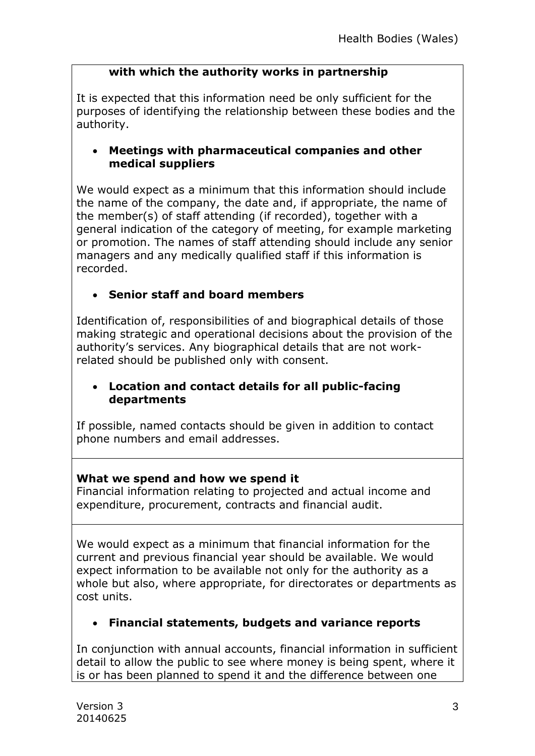### **with which the authority works in partnership**

It is expected that this information need be only sufficient for the purposes of identifying the relationship between these bodies and the authority.

## **Meetings with pharmaceutical companies and other medical suppliers**

We would expect as a minimum that this information should include the name of the company, the date and, if appropriate, the name of the member(s) of staff attending (if recorded), together with a general indication of the category of meeting, for example marketing or promotion. The names of staff attending should include any senior managers and any medically qualified staff if this information is recorded.

## **Senior staff and board members**

Identification of, responsibilities of and biographical details of those making strategic and operational decisions about the provision of the authority's services. Any biographical details that are not workrelated should be published only with consent.

#### **Location and contact details for all public-facing departments**

If possible, named contacts should be given in addition to contact phone numbers and email addresses.

## **What we spend and how we spend it**

Financial information relating to projected and actual income and expenditure, procurement, contracts and financial audit.

We would expect as a minimum that financial information for the current and previous financial year should be available. We would expect information to be available not only for the authority as a whole but also, where appropriate, for directorates or departments as cost units.

# **Financial statements, budgets and variance reports**

In conjunction with annual accounts, financial information in sufficient detail to allow the public to see where money is being spent, where it is or has been planned to spend it and the difference between one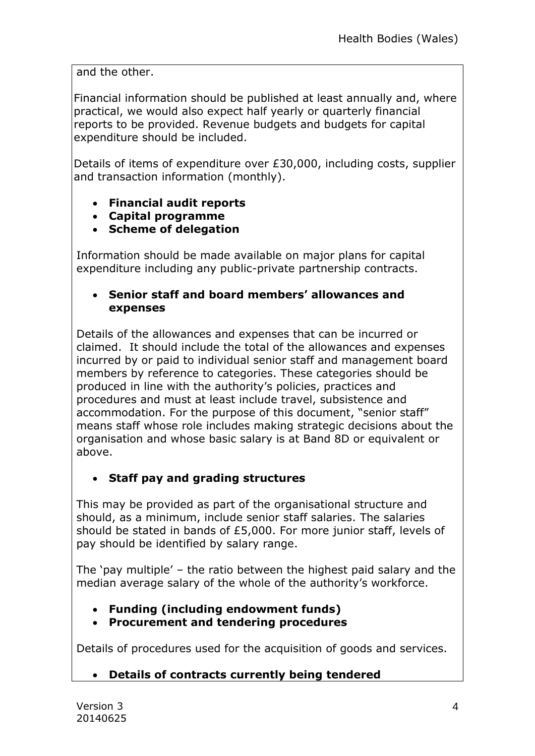and the other.

Financial information should be published at least annually and, where practical, we would also expect half yearly or quarterly financial reports to be provided. Revenue budgets and budgets for capital expenditure should be included.

Details of items of expenditure over £30,000, including costs, supplier and transaction information (monthly).

- **Financial audit reports**
- **Capital programme**
- **Scheme of delegation**

Information should be made available on major plans for capital expenditure including any public-private partnership contracts.

### **Senior staff and board members' allowances and expenses**

Details of the allowances and expenses that can be incurred or claimed. It should include the total of the allowances and expenses incurred by or paid to individual senior staff and management board members by reference to categories. These categories should be produced in line with the authority's policies, practices and procedures and must at least include travel, subsistence and accommodation. For the purpose of this document, "senior staff" means staff whose role includes making strategic decisions about the organisation and whose basic salary is at Band 8D or equivalent or above.

# **Staff pay and grading structures**

This may be provided as part of the organisational structure and should, as a minimum, include senior staff salaries. The salaries should be stated in bands of £5,000. For more junior staff, levels of pay should be identified by salary range.

The 'pay multiple' – the ratio between the highest paid salary and the median average salary of the whole of the authority's workforce.

- **Funding (including endowment funds)**
- **Procurement and tendering procedures**

Details of procedures used for the acquisition of goods and services.

## **Details of contracts currently being tendered**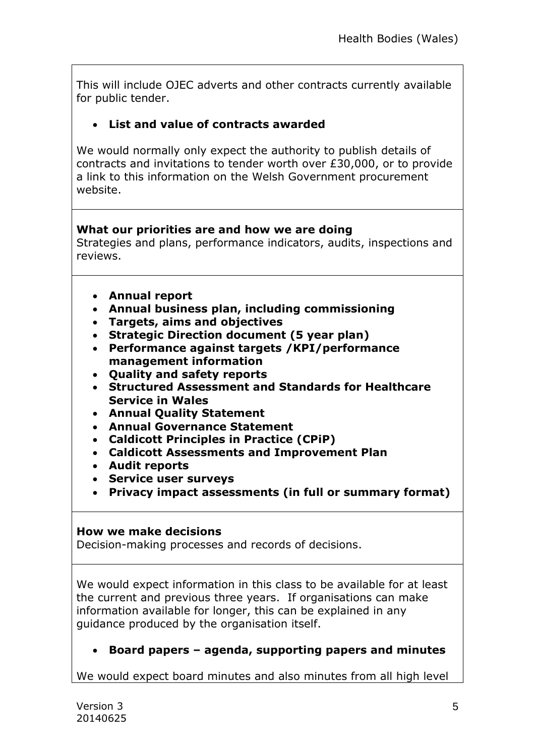This will include OJEC adverts and other contracts currently available for public tender.

## **List and value of contracts awarded**

We would normally only expect the authority to publish details of contracts and invitations to tender worth over £30,000, or to provide a link to this information on the Welsh Government procurement website.

#### **What our priorities are and how we are doing**

Strategies and plans, performance indicators, audits, inspections and reviews.

- **Annual report**
- **Annual business plan, including commissioning**
- **Targets, aims and objectives**
- **Strategic Direction document (5 year plan)**
- **Performance against targets /KPI/performance management information**
- **Quality and safety reports**
- **Structured Assessment and Standards for Healthcare Service in Wales**
- **Annual Quality Statement**
- **Annual Governance Statement**
- **Caldicott Principles in Practice (CPiP)**
- **Caldicott Assessments and Improvement Plan**
- **Audit reports**
- **Service user surveys**
- **Privacy impact assessments (in full or summary format)**

#### **How we make decisions**

Decision-making processes and records of decisions.

We would expect information in this class to be available for at least the current and previous three years. If organisations can make information available for longer, this can be explained in any guidance produced by the organisation itself.

**Board papers – agenda, supporting papers and minutes**

We would expect board minutes and also minutes from all high level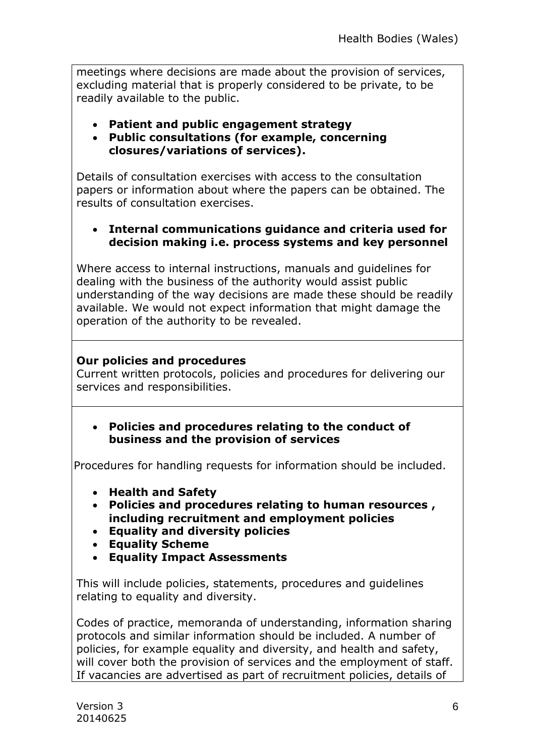meetings where decisions are made about the provision of services, excluding material that is properly considered to be private, to be readily available to the public.

- **Patient and public engagement strategy**
- **Public consultations (for example, concerning closures/variations of services).**

Details of consultation exercises with access to the consultation papers or information about where the papers can be obtained. The results of consultation exercises.

#### **Internal communications guidance and criteria used for decision making i.e. process systems and key personnel**

Where access to internal instructions, manuals and guidelines for dealing with the business of the authority would assist public understanding of the way decisions are made these should be readily available. We would not expect information that might damage the operation of the authority to be revealed.

#### **Our policies and procedures**

Current written protocols, policies and procedures for delivering our services and responsibilities.

 **Policies and procedures relating to the conduct of business and the provision of services**

Procedures for handling requests for information should be included.

- **Health and Safety**
- **Policies and procedures relating to human resources , including recruitment and employment policies**
- **Equality and diversity policies**
- **Equality Scheme**
- **Equality Impact Assessments**

This will include policies, statements, procedures and guidelines relating to equality and diversity.

Codes of practice, memoranda of understanding, information sharing protocols and similar information should be included. A number of policies, for example equality and diversity, and health and safety, will cover both the provision of services and the employment of staff. If vacancies are advertised as part of recruitment policies, details of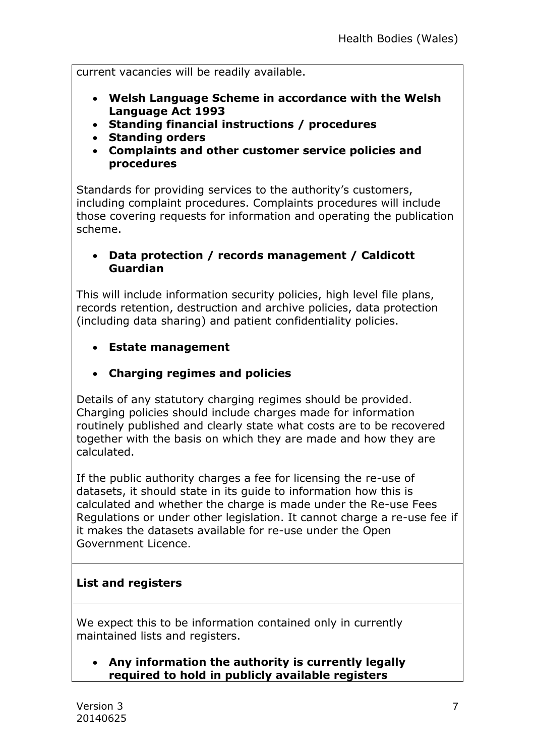current vacancies will be readily available.

- **Welsh Language Scheme in accordance with the Welsh Language Act 1993**
- **Standing financial instructions / procedures**
- **Standing orders**
- **Complaints and other customer service policies and procedures**

Standards for providing services to the authority's customers, including complaint procedures. Complaints procedures will include those covering requests for information and operating the publication scheme.

## **Data protection / records management / Caldicott Guardian**

This will include information security policies, high level file plans, records retention, destruction and archive policies, data protection (including data sharing) and patient confidentiality policies.

- **Estate management**
- **Charging regimes and policies**

Details of any statutory charging regimes should be provided. Charging policies should include charges made for information routinely published and clearly state what costs are to be recovered together with the basis on which they are made and how they are calculated.

If the public authority charges a fee for licensing the re-use of datasets, it should state in its guide to information how this is calculated and whether the charge is made under the Re-use Fees Regulations or under other legislation. It cannot charge a re-use fee if it makes the datasets available for re-use under the Open Government Licence.

## **List and registers**

We expect this to be information contained only in currently maintained lists and registers.

 **Any information the authority is currently legally required to hold in publicly available registers**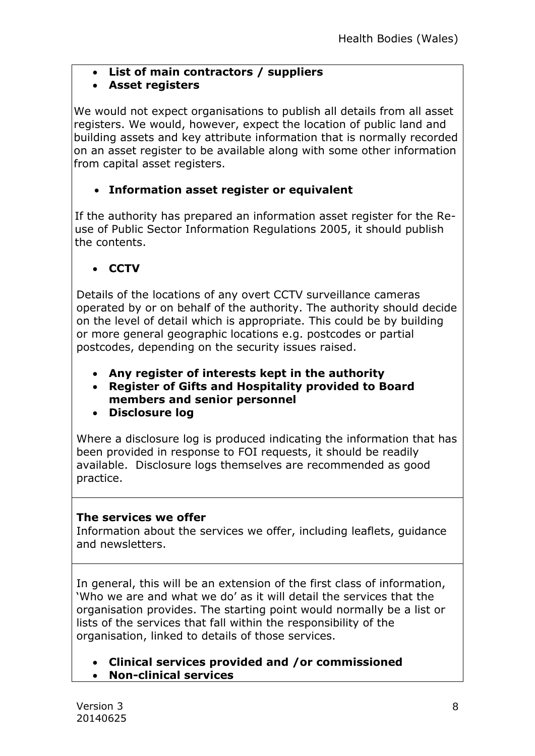**List of main contractors / suppliers**

## **Asset registers**

We would not expect organisations to publish all details from all asset registers. We would, however, expect the location of public land and building assets and key attribute information that is normally recorded on an asset register to be available along with some other information from capital asset registers.

# **Information asset register or equivalent**

 If the authority has prepared an information asset register for the Reuse of Public Sector Information Regulations 2005, it should publish the contents.

**CCTV**

Details of the locations of any overt CCTV surveillance cameras operated by or on behalf of the authority. The authority should decide on the level of detail which is appropriate. This could be by building or more general geographic locations e.g. postcodes or partial postcodes, depending on the security issues raised.

- **Any register of interests kept in the authority**
- **Register of Gifts and Hospitality provided to Board members and senior personnel**
- **Disclosure log**

Where a disclosure log is produced indicating the information that has been provided in response to FOI requests, it should be readily available. Disclosure logs themselves are recommended as good practice.

## **The services we offer**

Information about the services we offer, including leaflets, guidance and newsletters.

In general, this will be an extension of the first class of information, 'Who we are and what we do' as it will detail the services that the organisation provides. The starting point would normally be a list or lists of the services that fall within the responsibility of the organisation, linked to details of those services.

- **Clinical services provided and /or commissioned**
- **Non-clinical services**